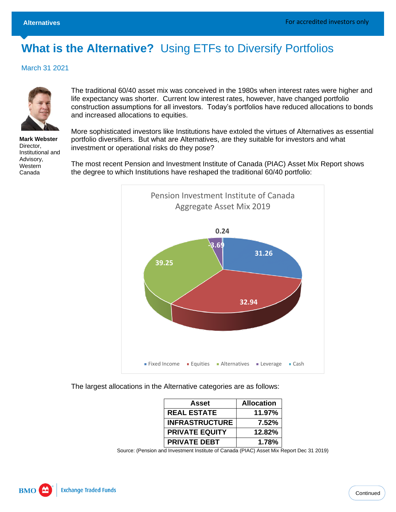# **What is the Alternative?** Using ETFs to Diversify Portfolios

March 31 2021



**Mark Webster** Director, Institutional and Advisory, **Western** Canada

The traditional 60/40 asset mix was conceived in the 1980s when interest rates were higher and life expectancy was shorter. Current low interest rates, however, have changed portfolio construction assumptions for all investors. Today's portfolios have reduced allocations to bonds and increased allocations to equities.

More sophisticated investors like Institutions have extoled the virtues of Alternatives as essential portfolio diversifiers. But what are Alternatives, are they suitable for investors and what investment or operational risks do they pose?

The most recent Pension and Investment Institute of Canada (PIAC) Asset Mix Report shows the degree to which Institutions have reshaped the traditional 60/40 portfolio:



The largest allocations in the Alternative categories are as follows:

| Asset                 | <b>Allocation</b> |
|-----------------------|-------------------|
| <b>REAL ESTATE</b>    | 11.97%            |
| <b>INFRASTRUCTURE</b> | 7.52%             |
| <b>PRIVATE EQUITY</b> | 12.82%            |
| <b>PRIVATE DEBT</b>   | 1.78%             |

Source: (Pension and Investment Institute of Canada (PIAC) Asset Mix Report Dec 31 2019)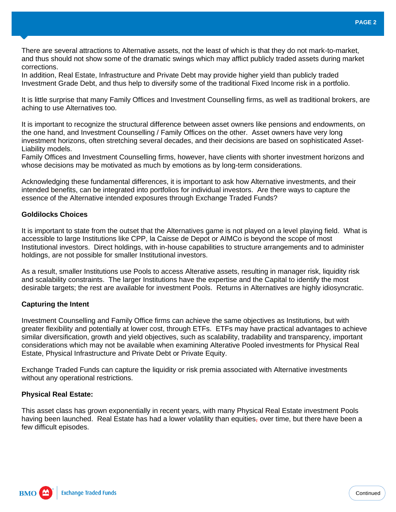There are several attractions to Alternative assets, not the least of which is that they do not mark-to-market, and thus should not show some of the dramatic swings which may afflict publicly traded assets during market corrections.

In addition, Real Estate, Infrastructure and Private Debt may provide higher yield than publicly traded Investment Grade Debt, and thus help to diversify some of the traditional Fixed Income risk in a portfolio.

It is little surprise that many Family Offices and Investment Counselling firms, as well as traditional brokers, are aching to use Alternatives too.

It is important to recognize the structural difference between asset owners like pensions and endowments, on the one hand, and Investment Counselling / Family Offices on the other. Asset owners have very long investment horizons, often stretching several decades, and their decisions are based on sophisticated Asset-Liability models.

Family Offices and Investment Counselling firms, however, have clients with shorter investment horizons and whose decisions may be motivated as much by emotions as by long-term considerations.

Acknowledging these fundamental differences, it is important to ask how Alternative investments, and their intended benefits, can be integrated into portfolios for individual investors. Are there ways to capture the essence of the Alternative intended exposures through Exchange Traded Funds?

## **Goldilocks Choices**

It is important to state from the outset that the Alternatives game is not played on a level playing field. What is accessible to large Institutions like CPP, la Caisse de Depot or AIMCo is beyond the scope of most Institutional investors. Direct holdings, with in-house capabilities to structure arrangements and to administer holdings, are not possible for smaller Institutional investors.

As a result, smaller Institutions use Pools to access Alterative assets, resulting in manager risk, liquidity risk and scalability constraints. The larger Institutions have the expertise and the Capital to identify the most desirable targets; the rest are available for investment Pools. Returns in Alternatives are highly idiosyncratic.

#### **Capturing the Intent**

Investment Counselling and Family Office firms can achieve the same objectives as Institutions, but with greater flexibility and potentially at lower cost, through ETFs. ETFs may have practical advantages to achieve similar diversification, growth and yield objectives, such as scalability, tradability and transparency, important considerations which may not be available when examining Alterative Pooled investments for Physical Real Estate, Physical Infrastructure and Private Debt or Private Equity.

Exchange Traded Funds can capture the liquidity or risk premia associated with Alternative investments without any operational restrictions.

## **Physical Real Estate:**

This asset class has grown exponentially in recent years, with many Physical Real Estate investment Pools having been launched. Real Estate has had a lower volatility than equities, over time, but there have been a few difficult episodes.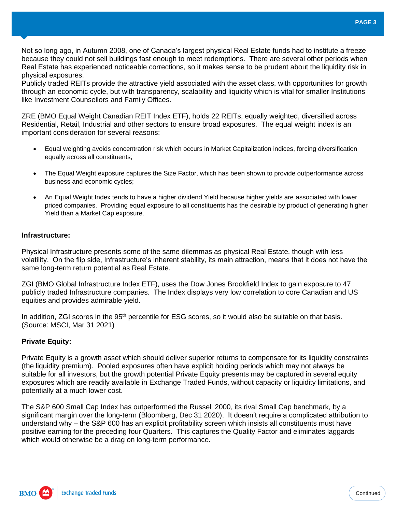Not so long ago, in Autumn 2008, one of Canada's largest physical Real Estate funds had to institute a freeze because they could not sell buildings fast enough to meet redemptions. There are several other periods when Real Estate has experienced noticeable corrections, so it makes sense to be prudent about the liquidity risk in physical exposures.

Publicly traded REITs provide the attractive yield associated with the asset class, with opportunities for growth through an economic cycle, but with transparency, scalability and liquidity which is vital for smaller Institutions like Investment Counsellors and Family Offices.

ZRE (BMO Equal Weight Canadian REIT Index ETF), holds 22 REITs, equally weighted, diversified across Residential, Retail, Industrial and other sectors to ensure broad exposures. The equal weight index is an important consideration for several reasons:

- Equal weighting avoids concentration risk which occurs in Market Capitalization indices, forcing diversification equally across all constituents;
- The Equal Weight exposure captures the Size Factor, which has been shown to provide outperformance across business and economic cycles;
- An Equal Weight Index tends to have a higher dividend Yield because higher yields are associated with lower priced companies. Providing equal exposure to all constituents has the desirable by product of generating higher Yield than a Market Cap exposure.

## **Infrastructure:**

Physical Infrastructure presents some of the same dilemmas as physical Real Estate, though with less volatility. On the flip side, Infrastructure's inherent stability, its main attraction, means that it does not have the same long-term return potential as Real Estate.

ZGI (BMO Global Infrastructure Index ETF), uses the Dow Jones Brookfield Index to gain exposure to 47 publicly traded Infrastructure companies. The Index displays very low correlation to core Canadian and US equities and provides admirable yield.

In addition, ZGI scores in the 95<sup>th</sup> percentile for ESG scores, so it would also be suitable on that basis. (Source: MSCI, Mar 31 2021)

## **Private Equity:**

Private Equity is a growth asset which should deliver superior returns to compensate for its liquidity constraints (the liquidity premium). Pooled exposures often have explicit holding periods which may not always be suitable for all investors, but the growth potential Private Equity presents may be captured in several equity exposures which are readily available in Exchange Traded Funds, without capacity or liquidity limitations, and potentially at a much lower cost.

The S&P 600 Small Cap Index has outperformed the Russell 2000, its rival Small Cap benchmark, by a significant margin over the long-term (Bloomberg, Dec 31 2020). It doesn't require a complicated attribution to understand why – the S&P 600 has an explicit profitability screen which insists all constituents must have positive earning for the preceding four Quarters. This captures the Quality Factor and eliminates laggards which would otherwise be a drag on long-term performance.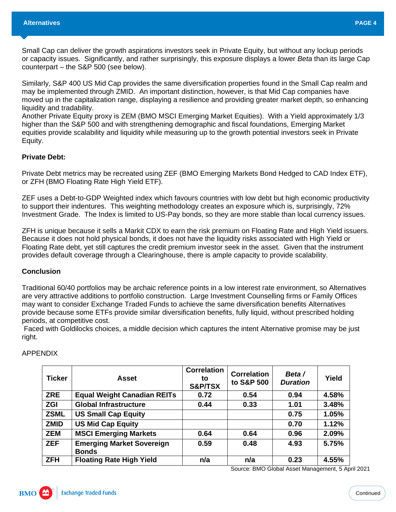Small Cap can deliver the growth aspirations investors seek in Private Equity, but without any lockup periods or capacity issues. Significantly, and rather surprisingly, this exposure displays a lower *Beta* than its large Cap counterpart – the S&P 500 (see below).

Similarly, S&P 400 US Mid Cap provides the same diversification properties found in the Small Cap realm and may be implemented through ZMID. An important distinction, however, is that Mid Cap companies have moved up in the capitalization range, displaying a resilience and providing greater market depth, so enhancing liquidity and tradability.

Another Private Equity proxy is ZEM (BMO MSCI Emerging Market Equities). With a Yield approximately 1/3 higher than the S&P 500 and with strengthening demographic and fiscal foundations, Emerging Market equities provide scalability and liquidity while measuring up to the growth potential investors seek in Private Equity.

#### **Private Debt:**

Private Debt metrics may be recreated using ZEF (BMO Emerging Markets Bond Hedged to CAD Index ETF), or ZFH (BMO Floating Rate High Yield ETF).

ZEF uses a Debt-to-GDP Weighted index which favours countries with low debt but high economic productivity to support their indentures. This weighting methodology creates an exposure which is, surprisingly, 72% Investment Grade. The Index is limited to US-Pay bonds, so they are more stable than local currency issues.

ZFH is unique because it sells a Markit CDX to earn the risk premium on Floating Rate and High Yield issuers. Because it does not hold physical bonds, it does not have the liquidity risks associated with High Yield or Floating Rate debt, yet still captures the credit premium investor seek in the asset. Given that the instrument provides default coverage through a Clearinghouse, there is ample capacity to provide scalability.

#### **Conclusion**

Traditional 60/40 portfolios may be archaic reference points in a low interest rate environment, so Alternatives are very attractive additions to portfolio construction. Large Investment Counselling firms or Family Offices may want to consider Exchange Traded Funds to achieve the same diversification benefits Alternatives provide because some ETFs provide similar diversification benefits, fully liquid, without prescribed holding periods, at competitive cost.

Faced with Goldilocks choices, a middle decision which captures the intent Alternative promise may be just right.

| <b>Ticker</b> | Asset                                            | <b>Correlation</b><br>tο<br><b>S&amp;P/TSX</b> | <b>Correlation</b><br>to S&P 500 | Beta /<br><b>Duration</b> | Yield |
|---------------|--------------------------------------------------|------------------------------------------------|----------------------------------|---------------------------|-------|
| <b>ZRE</b>    | <b>Equal Weight Canadian REITs</b>               | 0.72                                           | 0.54                             | 0.94                      | 4.58% |
| <b>ZGI</b>    | <b>Global Infrastructure</b>                     | 0.44                                           | 0.33                             | 1.01                      | 3.48% |
| <b>ZSML</b>   | <b>US Small Cap Equity</b>                       |                                                |                                  | 0.75                      | 1.05% |
| <b>ZMID</b>   | <b>US Mid Cap Equity</b>                         |                                                |                                  | 0.70                      | 1.12% |
| <b>ZEM</b>    | <b>MSCI Emerging Markets</b>                     | 0.64                                           | 0.64                             | 0.96                      | 2.09% |
| <b>ZEF</b>    | <b>Emerging Market Sovereign</b><br><b>Bonds</b> | 0.59                                           | 0.48                             | 4.93                      | 5.75% |
| <b>ZFH</b>    | <b>Floating Rate High Yield</b>                  | n/a                                            | n/a                              | 0.23                      | 4.55% |

APPENDIX

Source: BMO Global Asset Management, 5 April 2021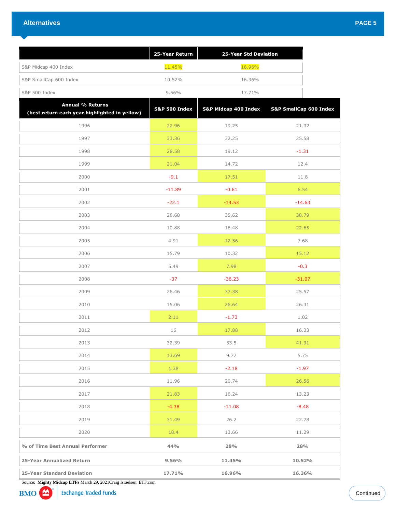|                                                                          | 25-Year Return           | 25-Year Std Deviation |                        |         |  |  |
|--------------------------------------------------------------------------|--------------------------|-----------------------|------------------------|---------|--|--|
| S&P Midcap 400 Index                                                     | 11.45%                   | 16.96%                |                        |         |  |  |
| S&P SmallCap 600 Index                                                   | 10.52%                   | 16.36%                |                        |         |  |  |
| S&P 500 Index                                                            | 9.56%                    | 17.71%                |                        |         |  |  |
| <b>Annual % Returns</b><br>(best return each year highlighted in yellow) | <b>S&amp;P 500 Index</b> | S&P Midcap 400 Index  | S&P SmallCap 600 Index |         |  |  |
| 1996                                                                     | 22.96                    | 19.25                 |                        | 21.32   |  |  |
| 1997                                                                     | 33.36                    | 32.25                 |                        | 25.58   |  |  |
| 1998                                                                     | 28.58                    | 19.12                 | $-1.31$                |         |  |  |
| 1999                                                                     | 21.04                    | 14.72                 | 12.4                   |         |  |  |
| 2000                                                                     | $-9.1$                   | 17.51                 | 11.8                   |         |  |  |
| 2001                                                                     | $-11.89$                 | $-0.61$               | 6.54                   |         |  |  |
| 2002                                                                     | $-22.1$                  | $-14.53$              | $-14.63$               |         |  |  |
| 2003                                                                     | 28.68                    | 35.62                 |                        | 38.79   |  |  |
| 2004                                                                     | 10.88                    | 16.48                 |                        | 22.65   |  |  |
| 2005                                                                     | 4.91                     | 12.56                 | 7.68                   |         |  |  |
| 2006                                                                     | 15.79                    | 10.32                 |                        | 15.12   |  |  |
| 2007                                                                     | 5.49                     | 7.98                  | $-0.3$                 |         |  |  |
| 2008                                                                     | $-37$                    | $-36.23$              | $-31.07$               |         |  |  |
| 2009                                                                     | 26.46                    | 37.38                 |                        | 25.57   |  |  |
| 2010                                                                     | 15.06                    | 26.64                 |                        | 26.31   |  |  |
| 2011                                                                     | 2.11                     | $-1.73$               | 1.02                   |         |  |  |
| 2012                                                                     | 16                       | 17.88                 | 16.33                  |         |  |  |
| 2013                                                                     | 32.39                    | 33.5                  |                        | 41.31   |  |  |
| 2014                                                                     | 13.69                    | 9.77                  |                        | 5.75    |  |  |
| 2015                                                                     | 1.38                     | $-2.18$               |                        | $-1.97$ |  |  |
| 2016                                                                     | 11.96                    | 20.74                 |                        | 26.56   |  |  |
| 2017                                                                     | 21.83                    | 16.24                 |                        | 13.23   |  |  |
| 2018                                                                     | $-4.38$                  | $-11.08$              |                        | $-8.48$ |  |  |
| 2019                                                                     | 31.49                    | 26.2                  |                        | 22.78   |  |  |
| 2020                                                                     | 18.4                     | 13.66                 |                        | 11.29   |  |  |
| % of Time Best Annual Performer                                          | 44%                      | 28%                   |                        | 28%     |  |  |
| 25-Year Annualized Return                                                | 9.56%                    | 11.45%                |                        | 10.52%  |  |  |
| <b>25-Year Standard Deviation</b>                                        | 17.71%                   | 16.96%                | 16.36%                 |         |  |  |

Source: **Mighty Midcap ETFs** March 29, 2021Craig Israelsen, ETF.com